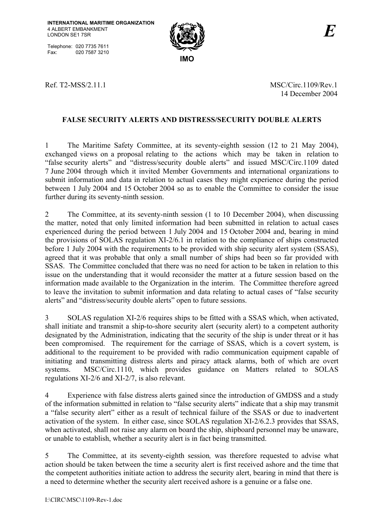Telephone: 020 7735 7611<br>Fax: 020 7587 3210 020 7587 3210



Ref. T2-MSS/2.11.1 MSC/Circ.1109/Rev.1 14 December 2004

## **FALSE SECURITY ALERTS AND DISTRESS/SECURITY DOUBLE ALERTS**

1 The Maritime Safety Committee, at its seventy-eighth session (12 to 21 May 2004), exchanged views on a proposal relating to the actions which may be taken in relation to "false security alerts" and "distress/security double alerts" and issued MSC/Circ.1109 dated 7 June 2004 through which it invited Member Governments and international organizations to submit information and data in relation to actual cases they might experience during the period between 1 July 2004 and 15 October 2004 so as to enable the Committee to consider the issue further during its seventy-ninth session.

2 The Committee, at its seventy-ninth session (1 to 10 December 2004), when discussing the matter, noted that only limited information had been submitted in relation to actual cases experienced during the period between 1 July 2004 and 15 October 2004 and, bearing in mind the provisions of SOLAS regulation XI-2/6.1 in relation to the compliance of ships constructed before 1 July 2004 with the requirements to be provided with ship security alert system (SSAS), agreed that it was probable that only a small number of ships had been so far provided with SSAS. The Committee concluded that there was no need for action to be taken in relation to this issue on the understanding that it would reconsider the matter at a future session based on the information made available to the Organization in the interim. The Committee therefore agreed to leave the invitation to submit information and data relating to actual cases of "false security" alerts" and "distress/security double alerts" open to future sessions.

3 SOLAS regulation XI-2/6 requires ships to be fitted with a SSAS which, when activated, shall initiate and transmit a ship-to-shore security alert (security alert) to a competent authority designated by the Administration, indicating that the security of the ship is under threat or it has been compromised. The requirement for the carriage of SSAS, which is a covert system, is additional to the requirement to be provided with radio communication equipment capable of initiating and transmitting distress alerts and piracy attack alarms, both of which are overt systems. MSC/Circ.1110, which provides guidance on Matters related to SOLAS regulations XI-2/6 and XI-2/7, is also relevant.

4 Experience with false distress alerts gained since the introduction of GMDSS and a study of the information submitted in relation to "false security alerts" indicate that a ship may transmit a "false security alert" either as a result of technical failure of the SSAS or due to inadvertent activation of the system. In either case, since SOLAS regulation XI-2/6.2.3 provides that SSAS, when activated, shall not raise any alarm on board the ship, shipboard personnel may be unaware, or unable to establish, whether a security alert is in fact being transmitted.

5 The Committee, at its seventy-eighth session*,* was therefore requested to advise what action should be taken between the time a security alert is first received ashore and the time that the competent authorities initiate action to address the security alert, bearing in mind that there is a need to determine whether the security alert received ashore is a genuine or a false one.